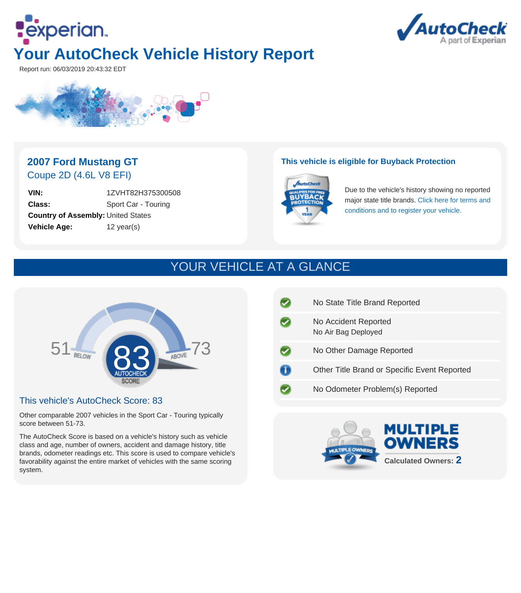



Report run: 06/03/2019 20:43:32 EDT



### **2007 Ford Mustang GT** Coupe 2D (4.6L V8 EFI)

**VIN:** 1ZVHT82H375300508 **Class:** Sport Car - Touring **Country of Assembly:** United States **Vehicle Age:** 12 year(s)

#### **This vehicle is eligible for Buyback Protection**



Due to the vehicle's history showing no reported major state title brands. [Click here for terms and](http://www.autocheck.com/vehiclehistory/autocheck/en/buyback-protection) [conditions and to register your vehicle.](http://www.autocheck.com/vehiclehistory/autocheck/en/buyback-protection)

# YOUR VEHICLE AT A GLANCE



#### This vehicle's AutoCheck Score: 83

Other comparable 2007 vehicles in the Sport Car - Touring typically score between 51-73.

The AutoCheck Score is based on a vehicle's history such as vehicle class and age, number of owners, accident and damage history, title brands, odometer readings etc. This score is used to compare vehicle's favorability against the entire market of vehicles with the same scoring system.

| No State Title Brand Reported                |
|----------------------------------------------|
| No Accident Reported<br>No Air Bag Deployed  |
| No Other Damage Reported                     |
| Other Title Brand or Specific Event Reported |
| No Odometer Problem(s) Reported              |
|                                              |

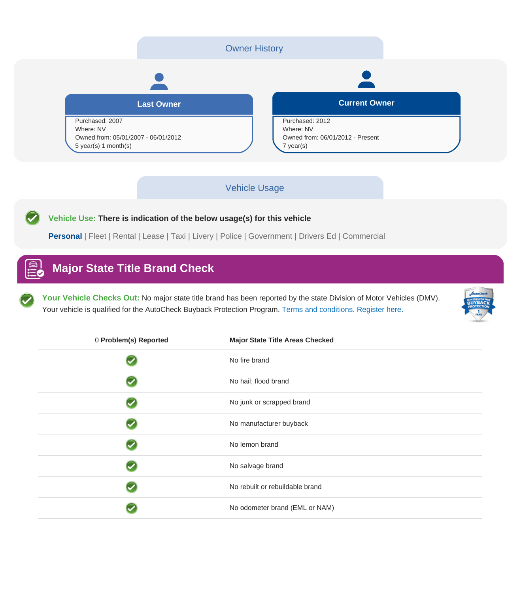

#### Vehicle Usage

**Vehicle Use: There is indication of the below usage(s) for this vehicle**

**Personal** | Fleet | Rental | Lease | Taxi | Livery | Police | Government | Drivers Ed | Commercial

### **Major State Title Brand Check**

**Your Vehicle Checks Out:** No major state title brand has been reported by the state Division of Motor Vehicles (DMV). Your vehicle is qualified for the AutoCheck Buyback Protection Program. [Terms and conditions. Register here.](http://www.autocheck.com/vehiclehistory/autocheck/en/buyback-protection)



| 0 Problem(s) Reported | <b>Major State Title Areas Checked</b> |
|-----------------------|----------------------------------------|
|                       | No fire brand                          |
|                       | No hail, flood brand                   |
|                       | No junk or scrapped brand              |
|                       | No manufacturer buyback                |
|                       | No lemon brand                         |
|                       | No salvage brand                       |
|                       | No rebuilt or rebuildable brand        |
|                       | No odometer brand (EML or NAM)         |
|                       |                                        |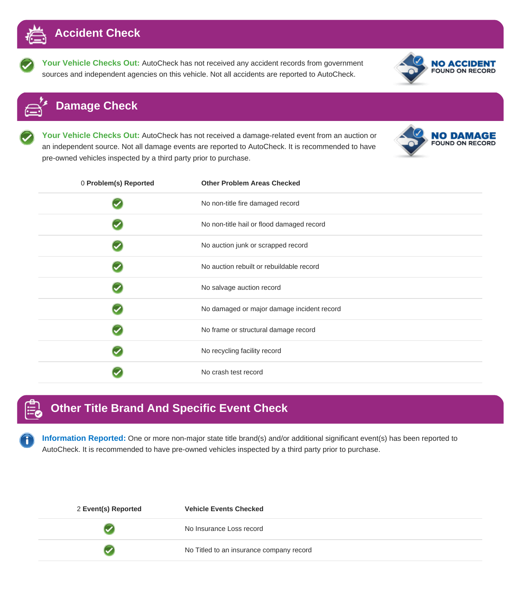

**Your Vehicle Checks Out:** AutoCheck has not received any accident records from government sources and independent agencies on this vehicle. Not all accidents are reported to AutoCheck.



### **Damage Check**

**Your Vehicle Checks Out:** AutoCheck has not received a damage-related event from an auction or an independent source. Not all damage events are reported to AutoCheck. It is recommended to have pre-owned vehicles inspected by a third party prior to purchase.

|  | <b>NO DAMAGE</b><br><b>FOUND ON RECORD</b> |
|--|--------------------------------------------|
|--|--------------------------------------------|

| 0 Problem(s) Reported | <b>Other Problem Areas Checked</b>         |
|-----------------------|--------------------------------------------|
|                       | No non-title fire damaged record           |
|                       | No non-title hail or flood damaged record  |
|                       | No auction junk or scrapped record         |
|                       | No auction rebuilt or rebuildable record   |
|                       | No salvage auction record                  |
|                       | No damaged or major damage incident record |
|                       | No frame or structural damage record       |
|                       | No recycling facility record               |
|                       | No crash test record                       |

# **Other Title Brand And Specific Event Check**

**Information Reported:** One or more non-major state title brand(s) and/or additional significant event(s) has been reported to AutoCheck. It is recommended to have pre-owned vehicles inspected by a third party prior to purchase.

| 2 Event(s) Reported | <b>Vehicle Events Checked</b>            |
|---------------------|------------------------------------------|
|                     | No Insurance Loss record                 |
|                     | No Titled to an insurance company record |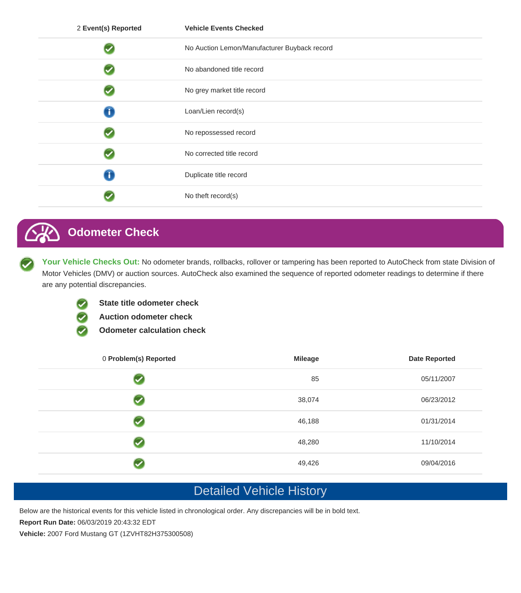| 2 Event(s) Reported | <b>Vehicle Events Checked</b>                |
|---------------------|----------------------------------------------|
|                     | No Auction Lemon/Manufacturer Buyback record |
|                     | No abandoned title record                    |
|                     | No grey market title record                  |
| T                   | Loan/Lien record(s)                          |
|                     | No repossessed record                        |
|                     | No corrected title record                    |
|                     | Duplicate title record                       |
|                     | No theft record(s)                           |

## **Odometer Check**

Your Vehicle Checks Out: No odometer brands, rollbacks, rollover or tampering has been reported to AutoCheck from state Division of Motor Vehicles (DMV) or auction sources. AutoCheck also examined the sequence of reported odometer readings to determine if there are any potential discrepancies.



- **State title odometer check**
- **Auction odometer check**
- **Odometer calculation check**

| 0 Problem(s) Reported | <b>Mileage</b> | <b>Date Reported</b> |
|-----------------------|----------------|----------------------|
|                       | 85             | 05/11/2007           |
|                       | 38,074         | 06/23/2012           |
|                       | 46,188         | 01/31/2014           |
|                       | 48,280         | 11/10/2014           |
|                       | 49,426         | 09/04/2016           |

### Detailed Vehicle History

Below are the historical events for this vehicle listed in chronological order. Any discrepancies will be in bold text.

**Report Run Date:** 06/03/2019 20:43:32 EDT

**Vehicle:** 2007 Ford Mustang GT (1ZVHT82H375300508)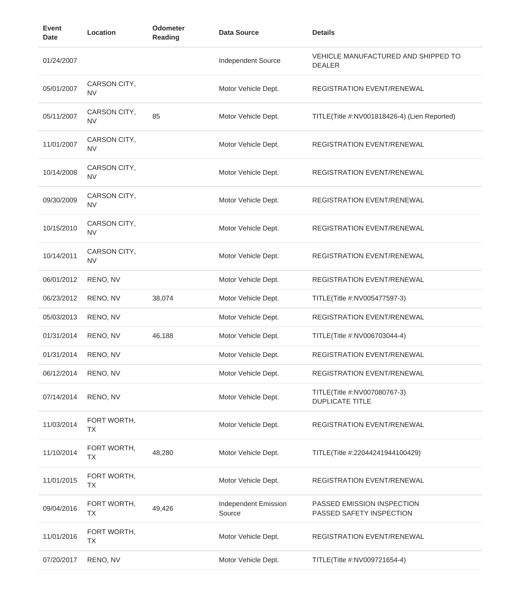| <b>Event</b><br><b>Date</b> | Location                  | Odometer<br>Reading | <b>Data Source</b>             | <b>Details</b>                                         |
|-----------------------------|---------------------------|---------------------|--------------------------------|--------------------------------------------------------|
| 01/24/2007                  |                           |                     | Independent Source             | VEHICLE MANUFACTURED AND SHIPPED TO<br><b>DEALER</b>   |
| 05/01/2007                  | CARSON CITY,<br><b>NV</b> |                     | Motor Vehicle Dept.            | <b>REGISTRATION EVENT/RENEWAL</b>                      |
| 05/11/2007                  | CARSON CITY,<br><b>NV</b> | 85                  | Motor Vehicle Dept.            | TITLE(Title #:NV001818426-4) (Lien Reported)           |
| 11/01/2007                  | CARSON CITY,<br><b>NV</b> |                     | Motor Vehicle Dept.            | REGISTRATION EVENT/RENEWAL                             |
| 10/14/2008                  | CARSON CITY,<br><b>NV</b> |                     | Motor Vehicle Dept.            | REGISTRATION EVENT/RENEWAL                             |
| 09/30/2009                  | CARSON CITY,<br><b>NV</b> |                     | Motor Vehicle Dept.            | REGISTRATION EVENT/RENEWAL                             |
| 10/15/2010                  | CARSON CITY,<br><b>NV</b> |                     | Motor Vehicle Dept.            | REGISTRATION EVENT/RENEWAL                             |
| 10/14/2011                  | CARSON CITY,<br><b>NV</b> |                     | Motor Vehicle Dept.            | REGISTRATION EVENT/RENEWAL                             |
| 06/01/2012                  | RENO, NV                  |                     | Motor Vehicle Dept.            | <b>REGISTRATION EVENT/RENEWAL</b>                      |
| 06/23/2012                  | RENO, NV                  | 38,074              | Motor Vehicle Dept.            | TITLE(Title #:NV005477597-3)                           |
| 05/03/2013                  | RENO, NV                  |                     | Motor Vehicle Dept.            | REGISTRATION EVENT/RENEWAL                             |
| 01/31/2014                  | RENO, NV                  | 46,188              | Motor Vehicle Dept.            | TITLE(Title #:NV006703044-4)                           |
| 01/31/2014                  | RENO, NV                  |                     | Motor Vehicle Dept.            | REGISTRATION EVENT/RENEWAL                             |
| 06/12/2014                  | RENO, NV                  |                     | Motor Vehicle Dept.            | REGISTRATION EVENT/RENEWAL                             |
| 07/14/2014                  | RENO, NV                  |                     | Motor Vehicle Dept.            | TITLE(Title #:NV007080767-3)<br><b>DUPLICATE TITLE</b> |
| 11/03/2014                  | FORT WORTH,<br>TX         |                     | Motor Vehicle Dept.            | <b>REGISTRATION EVENT/RENEWAL</b>                      |
| 11/10/2014                  | FORT WORTH,<br>TX         | 48,280              | Motor Vehicle Dept.            | TITLE(Title #:22044241944100429)                       |
| 11/01/2015                  | FORT WORTH,<br>TX         |                     | Motor Vehicle Dept.            | REGISTRATION EVENT/RENEWAL                             |
| 09/04/2016                  | FORT WORTH,<br>TX         | 49,426              | Independent Emission<br>Source | PASSED EMISSION INSPECTION<br>PASSED SAFETY INSPECTION |
| 11/01/2016                  | FORT WORTH,<br>TX         |                     | Motor Vehicle Dept.            | REGISTRATION EVENT/RENEWAL                             |
| 07/20/2017                  | RENO, NV                  |                     | Motor Vehicle Dept.            | TITLE(Title #:NV009721654-4)                           |